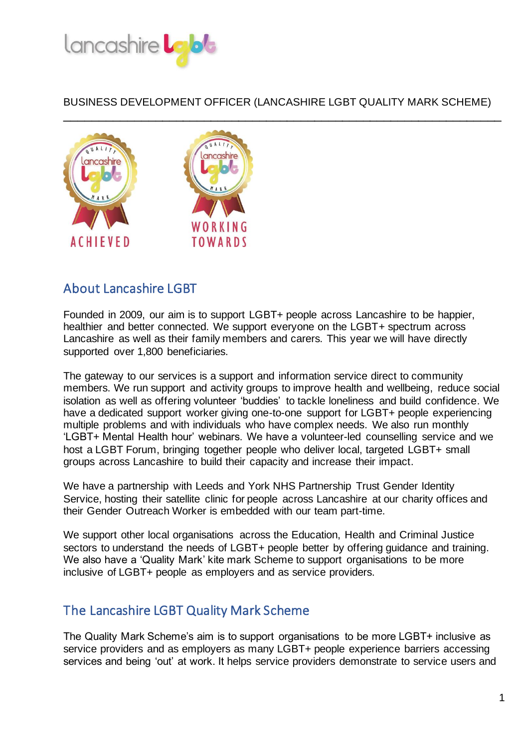



# About Lancashire LGBT

Founded in 2009, our aim is to support LGBT+ people across Lancashire to be happier, healthier and better connected. We support everyone on the LGBT+ spectrum across Lancashire as well as their family members and carers. This year we will have directly supported over 1,800 beneficiaries.

The gateway to our services is a support and information service direct to community members. We run support and activity groups to improve health and wellbeing, reduce social isolation as well as offering volunteer 'buddies' to tackle loneliness and build confidence. We have a dedicated support worker giving one-to-one support for LGBT+ people experiencing multiple problems and with individuals who have complex needs. We also run monthly 'LGBT+ Mental Health hour' webinars. We have a volunteer-led counselling service and we host a LGBT Forum, bringing together people who deliver local, targeted LGBT+ small groups across Lancashire to build their capacity and increase their impact.

We have a partnership with Leeds and York NHS Partnership Trust Gender Identity Service, hosting their satellite clinic for people across Lancashire at our charity offices and their Gender Outreach Worker is embedded with our team part-time.

We support other local organisations across the Education, Health and Criminal Justice sectors to understand the needs of LGBT+ people better by offering guidance and training. We also have a 'Quality Mark' kite mark Scheme to support organisations to be more inclusive of LGBT+ people as employers and as service providers.

# The Lancashire LGBT Quality Mark Scheme

The Quality Mark Scheme's aim is to support organisations to be more LGBT+ inclusive as service providers and as employers as many LGBT+ people experience barriers accessing services and being 'out' at work. It helps service providers demonstrate to service users and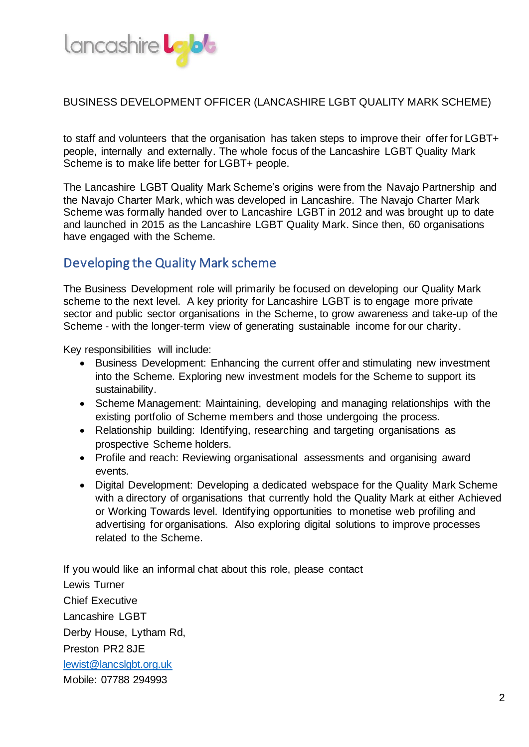

to staff and volunteers that the organisation has taken steps to improve their offer for LGBT+ people, internally and externally. The whole focus of the Lancashire LGBT Quality Mark Scheme is to make life better for LGBT+ people.

The Lancashire LGBT Quality Mark Scheme's origins were from the Navajo Partnership and the Navajo Charter Mark, which was developed in Lancashire. The Navajo Charter Mark Scheme was formally handed over to Lancashire LGBT in 2012 and was brought up to date and launched in 2015 as the Lancashire LGBT Quality Mark. Since then, 60 organisations have engaged with the Scheme.

# Developing the Quality Mark scheme

The Business Development role will primarily be focused on developing our Quality Mark scheme to the next level. A key priority for Lancashire LGBT is to engage more private sector and public sector organisations in the Scheme, to grow awareness and take-up of the Scheme - with the longer-term view of generating sustainable income for our charity.

Key responsibilities will include:

- Business Development: Enhancing the current offer and stimulating new investment into the Scheme. Exploring new investment models for the Scheme to support its sustainability.
- Scheme Management: Maintaining, developing and managing relationships with the existing portfolio of Scheme members and those undergoing the process.
- Relationship building: Identifying, researching and targeting organisations as prospective Scheme holders.
- Profile and reach: Reviewing organisational assessments and organising award events.
- Digital Development: Developing a dedicated webspace for the Quality Mark Scheme with a directory of organisations that currently hold the Quality Mark at either Achieved or Working Towards level. Identifying opportunities to monetise web profiling and advertising for organisations. Also exploring digital solutions to improve processes related to the Scheme.

If you would like an informal chat about this role, please contact Lewis Turner Chief Executive Lancashire LGBT Derby House, Lytham Rd, Preston PR2 8JE [lewist@lancslgbt.org.uk](mailto:lewist@lancslgbt.org.uk) Mobile: 07788 294993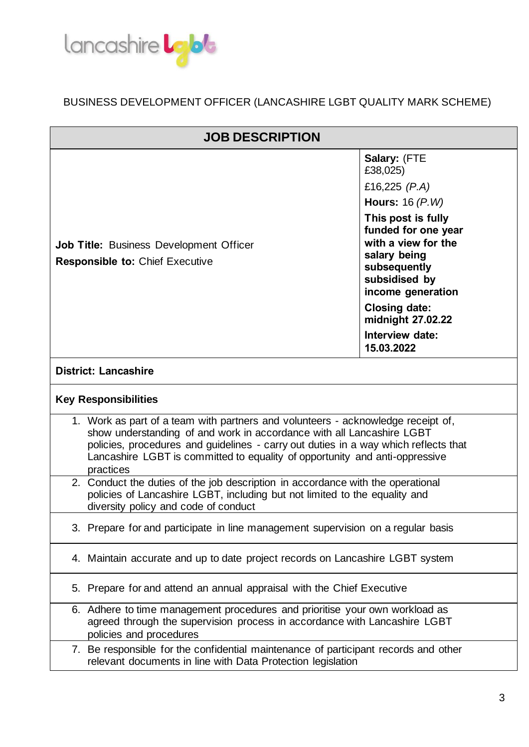

| <b>JOB DESCRIPTION</b>                                                                                                                                                                                                                                                                                                                       |                                                                                                                                                                                                                                                        |  |
|----------------------------------------------------------------------------------------------------------------------------------------------------------------------------------------------------------------------------------------------------------------------------------------------------------------------------------------------|--------------------------------------------------------------------------------------------------------------------------------------------------------------------------------------------------------------------------------------------------------|--|
| Job Title: Business Development Officer<br><b>Responsible to: Chief Executive</b>                                                                                                                                                                                                                                                            | Salary: (FTE<br>£38,025)<br>£16,225 $(P.A)$<br>Hours: $16(P.W)$<br>This post is fully<br>funded for one year<br>with a view for the<br>salary being<br>subsequently<br>subsidised by<br>income generation<br><b>Closing date:</b><br>midnight 27.02.22 |  |
|                                                                                                                                                                                                                                                                                                                                              | Interview date:<br>15.03.2022                                                                                                                                                                                                                          |  |
| <b>District: Lancashire</b>                                                                                                                                                                                                                                                                                                                  |                                                                                                                                                                                                                                                        |  |
| <b>Key Responsibilities</b>                                                                                                                                                                                                                                                                                                                  |                                                                                                                                                                                                                                                        |  |
| 1. Work as part of a team with partners and volunteers - acknowledge receipt of,<br>show understanding of and work in accordance with all Lancashire LGBT<br>policies, procedures and guidelines - carry out duties in a way which reflects that<br>Lancashire LGBT is committed to equality of opportunity and anti-oppressive<br>practices |                                                                                                                                                                                                                                                        |  |
| 2. Conduct the duties of the job description in accordance with the operational<br>policies of Lancashire LGBT, including but not limited to the equality and<br>diversity policy and code of conduct                                                                                                                                        |                                                                                                                                                                                                                                                        |  |
| 3. Prepare for and participate in line management supervision on a regular basis                                                                                                                                                                                                                                                             |                                                                                                                                                                                                                                                        |  |
| 4. Maintain accurate and up to date project records on Lancashire LGBT system                                                                                                                                                                                                                                                                |                                                                                                                                                                                                                                                        |  |
| 5. Prepare for and attend an annual appraisal with the Chief Executive                                                                                                                                                                                                                                                                       |                                                                                                                                                                                                                                                        |  |
| 6. Adhere to time management procedures and prioritise your own workload as<br>agreed through the supervision process in accordance with Lancashire LGBT<br>policies and procedures                                                                                                                                                          |                                                                                                                                                                                                                                                        |  |
| 7. Be responsible for the confidential maintenance of participant records and other<br>relevant documents in line with Data Protection legislation                                                                                                                                                                                           |                                                                                                                                                                                                                                                        |  |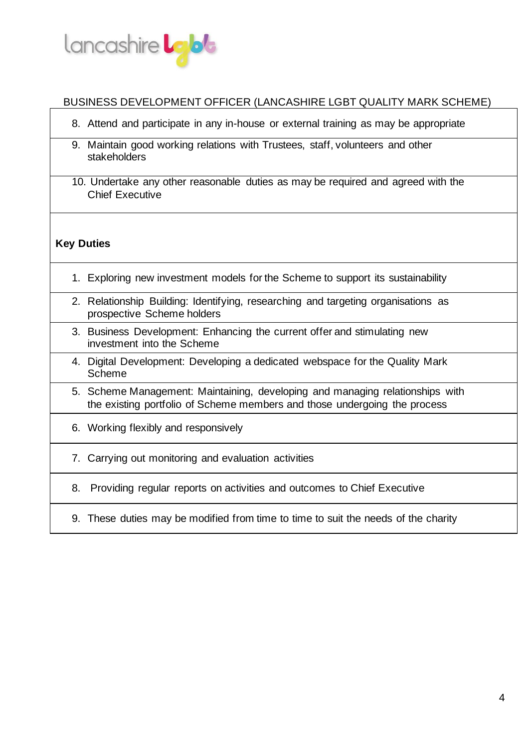

- 8. Attend and participate in any in-house or external training as may be appropriate
- 9. Maintain good working relations with Trustees, staff, volunteers and other stakeholders
- 10. Undertake any other reasonable duties as may be required and agreed with the Chief Executive

### **Key Duties**

- 1. Exploring new investment models for the Scheme to support its sustainability
- 2. Relationship Building: Identifying, researching and targeting organisations as prospective Scheme holders
- 3. Business Development: Enhancing the current offer and stimulating new investment into the Scheme
- 4. Digital Development: Developing a dedicated webspace for the Quality Mark Scheme
- 5. Scheme Management: Maintaining, developing and managing relationships with the existing portfolio of Scheme members and those undergoing the process
- 6. Working flexibly and responsively
- 7. Carrying out monitoring and evaluation activities
- 8. Providing regular reports on activities and outcomes to Chief Executive
- 9. These duties may be modified from time to time to suit the needs of the charity